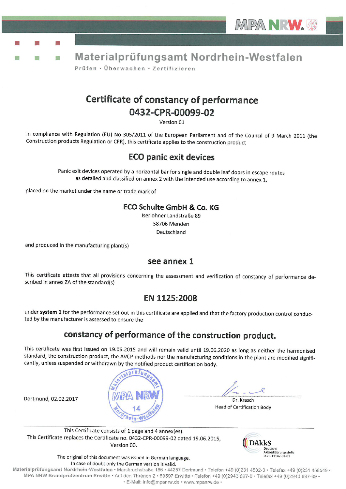



## Certificate of constancy of performance 0432-CPR-00099-02

Version 01

In compliance with Regulation (EU) No 305/2011 of the European Parliament and of the Council of 9 March 2011 (the Construction products Regulation or CPR), this certificate applies to the construction product

## **ECO panic exit devices**

Panic exit devices operated by a horizontal bar for single and double leaf doors in escape routes as detailed and classified on annex 2 with the intended use according to annex 1,

placed on the market under the name or trade mark of

#### ECO Schulte GmbH & Co. KG

Iserlohner Landstraße 89 58706 Menden Deutschland

and produced in the manufacturing plant(s)

Dortmund, 02.02.2017

m.

#### see annex 1

This certificate attests that all provisions concerning the assessment and verification of constancy of performance described in annex ZA of the standard(s)

#### EN 1125:2008

under system 1 for the performance set out in this certificate are applied and that the factory production control conducted by the manufacturer is assessed to ensure the

## constancy of performance of the construction product.

This certificate was first issued on 19.06.2015 and will remain valid until 19.06.2020 as long as neither the harmonised standard, the construction product, the AVCP methods nor the manufacturing conditions in the plant are modified significantly, unless suspended or withdrawn by the notified product certification body.



Dr. Krasch **Head of Certification Body** 

This Certificate consists of 1 page and 4 annex(es). This Certificate replaces the Certificate no. 0432-CPR-00099-02 dated 19.06.2015, Version 00.



The original of this document was issued in German language. In case of doubt only the German version is valid.

Materialprüfungsamt Nordrhein-Westfalen · Marsbruchstraße 186 · 44287 Dortmund · Telefon +49 (0)231 4502-0 · Telefax +49 (0)231 458549 · MPA NRW Brandprüfzentrum Erwitte · Auf den Thränen 2 · 59597 Erwitte · Telefon +49 (0)2943 897-0 · Telefax +49 (0)2943 897-89 · · E-Mail: info@mpanrw.de · www.mpanrw.de ·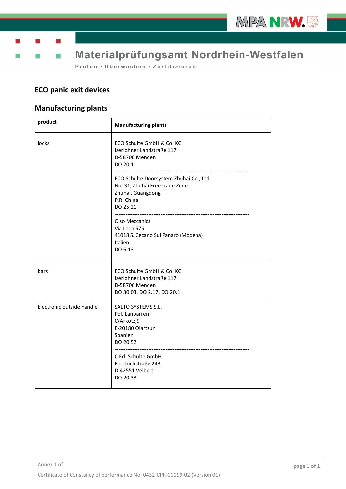

Ť. T)

Materialprüfungsamt Nordrhein-Westfalen

Prüfen · Überwachen · Zertifizieren

## **ECO panic exit devices**

## **Manufacturing plants**

| product                   | <b>Manufacturing plants</b>                                                                                              |
|---------------------------|--------------------------------------------------------------------------------------------------------------------------|
| locks                     | ECO Schulte GmbH & Co. KG<br>Iserlohner Landstraße 117<br>D-58706 Menden<br>DO 20.1                                      |
|                           | ECO Schulte Doorsystem Zhuhai Co., Ltd.<br>No. 31, Zhuhai Free trade Zone<br>Zhuhai, Guangdong<br>P.R. China<br>DO 25.21 |
|                           | Olso Meccanica<br>Via Loda 575<br>41018 S. Cecario Sul Panaro (Modena)<br>Italien<br>DO 6.13                             |
| bars                      | ECO Schulte GmbH & Co. KG<br>Iserlohner Landstraße 117<br>D-58706 Menden<br>DO 30.03, DO 2.17, DO 20.1                   |
| Electronic outside handle | SALTO SYSTEMS S.L.<br>Pol. Lanbarren<br>C/Arkotz,9<br>E-20180 Oiartzun<br>Spanien<br>DO 20.52                            |
|                           | C.Ed. Schulte GmbH<br>Friedrichstraße 243<br>D-42551 Velbert<br>DO 20.38                                                 |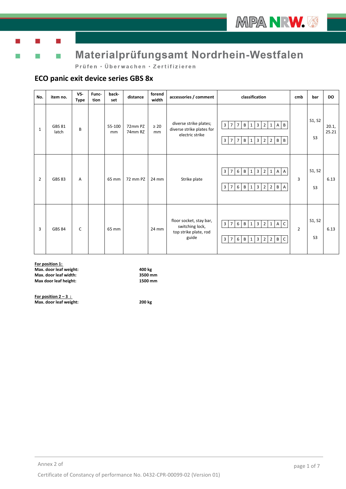

T)

Ť.

## Materialprüfungsamt Nordrhein-Westfalen

Prüfen · Überwachen · Zertifizieren

#### **ECO panic exit device series GBS 8x**

| No.            | item no.               | VS-<br><b>Type</b> | Func-<br>tion | back-<br>set | distance           | forend<br>width | accessories / comment                                                        | classification                                                                                                                                                                                                                                  | cmb            | bar                      | <b>DO</b>      |
|----------------|------------------------|--------------------|---------------|--------------|--------------------|-----------------|------------------------------------------------------------------------------|-------------------------------------------------------------------------------------------------------------------------------------------------------------------------------------------------------------------------------------------------|----------------|--------------------------|----------------|
| 1              | <b>GBS 81</b><br>latch | B                  |               | 55-100<br>mm | 72mm PZ<br>74mm RZ | $\geq 20$<br>mm | diverse strike plates;<br>diverse strike plates for<br>electric strike       | $\overline{3}$<br>$7$ B<br>$2^{\circ}$<br>$\overline{7}$<br>$\overline{3}$<br>$\overline{B}$<br>$\mathbf{1}$<br>1 A<br>$\, {\bf B}$<br>$7 \mid B$<br>$2 \mid$<br>$2 \mid B$<br>$\mathbf{3}$<br>$\overline{7}$<br>$\mathbf{1}$<br>$\overline{3}$ |                | S1, S2<br>S <sub>3</sub> | 20.1,<br>25.21 |
| $\overline{2}$ | <b>GBS 83</b>          | A                  |               | 65 mm        | 72 mm PZ           | 24 mm           | Strike plate                                                                 | 3 2 <br>$6 \mid B \mid$<br>$\mathbf{1}$<br>1 A A<br>$\overline{3}$<br>$\overline{7}$<br>6B<br>$3 \mid 2 \mid$<br>$2$ $\mid$ $\mid$ $\mid$ $\mid$ $\mid$ $\mid$<br>$\overline{3}$<br>$7\overline{ }$<br>$\mathbf{1}$                             | 3              | S1, S2<br>S <sub>3</sub> | 6.13           |
| 3              | <b>GBS 84</b>          | C                  |               | 65 mm        |                    | 24 mm           | floor socket, stay bar,<br>switching lock,<br>top strike plate, rod<br>guide | $3 \mid 2 \mid 1 \mid A \mid C$<br>$\overline{3}$<br>6 B 1<br>$\overline{7}$<br>2 <sup>1</sup><br>$2 \mid B$<br>$\mathsf{C}$<br>$6$ B<br>$\overline{3}$<br>$\overline{3}$<br>$\overline{7}$<br>$\mathbf{1}$                                     | $\overline{2}$ | S1, S2<br>S <sub>3</sub> | 6.13           |

**For position 1: Max. door leaf weight: 400 kg Max. door leaf width: 3500 mm Max door leaf height: 1500 mm** 

**For position 2 – 3 : Max. door leaf weight: 200 kg**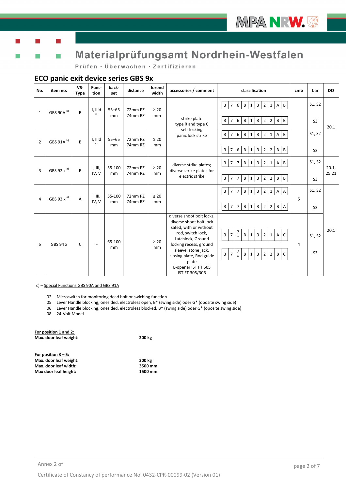

Ť.

# Materialprüfungsamt Nordrhein-Westfalen

Prüfen · Überwachen · Zertifizieren

#### **ECO panic exit device series GBS 9x**

| No.            | item no.               | VS-<br><b>Type</b> | Func-<br>tion    | back-<br>set    | distance           | forend<br>width | accessories / comment                                                                                                                                                                                                                                   | classification                                                                                                                                                                                                                                                                                                      | cmb | bar                      | <b>DO</b>      |
|----------------|------------------------|--------------------|------------------|-----------------|--------------------|-----------------|---------------------------------------------------------------------------------------------------------------------------------------------------------------------------------------------------------------------------------------------------------|---------------------------------------------------------------------------------------------------------------------------------------------------------------------------------------------------------------------------------------------------------------------------------------------------------------------|-----|--------------------------|----------------|
| $\mathbf{1}$   | GBS 90A <sup>b)</sup>  | B                  | I, IIId<br>c)    | $55 - 65$<br>mm | 72mm PZ<br>74mm RZ | $\geq 20$<br>mm | strike plate<br>type R and type C                                                                                                                                                                                                                       | $\mathbf{3}$<br>$\mathsf{B}$<br>6 B 1 3<br>$\overline{2}$<br>$\overline{7}$<br>$1 \, A$<br>$\mathbf{3}$<br>$6$ B<br>$1 \vert 3$<br>$\overline{2}$<br>B<br>$\overline{7}$<br>$2 \mid B$                                                                                                                              |     | S1, S2<br>S <sub>3</sub> | 20.1           |
| $\overline{2}$ | GBS 91A <sup>b)</sup>  | B                  | I, IIId<br>c)    | $55 - 65$<br>mm | 72mm PZ<br>74mm RZ | $\geq 20$<br>mm | self-locking<br>panic lock strike                                                                                                                                                                                                                       | B<br>$\overline{\mathbf{3}}$<br>3<br>6<br>$\blacksquare$<br>B $\blacksquare$<br>$\overline{2}$<br>$\mathsf{A}$<br>$\overline{7}$<br>$1\overline{ }$<br>1<br>3<br>6<br> B <br>$\overline{3}$<br>$\overline{2}$<br>$2 \mid B$<br>B<br>$\overline{7}$<br>$1 \mid$                                                      |     | S1, S2<br>S <sub>3</sub> |                |
| 3              | GBS 92 x <sup>a)</sup> | B                  | I, III,<br>IV, V | 55-100<br>mm    | 72mm PZ<br>74mm RZ | $\geq 20$<br>mm | diverse strike plates;<br>diverse strike plates for<br>electric strike                                                                                                                                                                                  | B<br>$\mathbf{3}$<br>$\mathbf{3}$<br>$\overline{2}$<br>$\overline{7}$<br>B<br>$\mathbf{1}$<br>A<br>$\overline{7}$<br>$1\vert$<br>$\overline{3}$<br>$\mathsf{B}$<br>$\overline{3}$<br>$\overline{2}$<br>B<br>$\overline{7}$<br>$1\overline{ }$<br>$2 \mid B$<br>$\overline{7}$                                       |     | S1, S2<br>S <sub>3</sub> | 20.1,<br>25.21 |
| 4              | GBS 93 x a)            | A                  | I, III,<br>IV, V | 55-100<br>mm    | 72mm PZ<br>74mm RZ | $\geq 20$<br>mm |                                                                                                                                                                                                                                                         | $\mathbf{3}$<br>$\mathbf{3}$<br>$\overline{7}$<br>$\mathsf{B}$<br>$\overline{2}$<br>$1 \, A$<br>$\overline{A}$<br>$\overline{7}$<br>$\mathbf{1}$<br>$\mathbf{3}$<br>B 1 3<br>$\overline{2}$<br>$2 \mid B$<br>$\overline{7}$<br>$\overline{7}$<br>$\overline{A}$                                                     | 5   | S1, S2<br>S <sub>3</sub> |                |
| 5              | GBS 94 x               | $\mathsf{C}$       | $\blacksquare$   | 65-100<br>mm    |                    | $\geq 20$<br>mm | diverse shoot bolt locks,<br>diverse shoot bolt lock<br>safed, with or without<br>rod, switch lock,<br>Latchlock, Ground<br>locking recess, ground<br>sleeve, stone jack,<br>closing plate, Rod guide<br>plate<br>E-opener IST FT 505<br>IST FT 305/306 | $\frac{7}{1}$<br>$\mathbf{3}$<br>$\, {\bf B} \,$<br>$\mathbf{3}$<br>$\overline{2}$<br>$\mathsf{C}$<br>$\mathbf{1}$<br>$1\vert$<br>$\mathsf{A}$<br>$\overline{7}$<br>$\frac{7}{1}$<br>B<br>3 <sup>1</sup><br>$\mathbf{3}$<br>$\overline{2}$<br>$\overline{7}$<br>2 <sup>1</sup><br>B<br>$\mathsf{C}$<br>$\mathbf{1}$ | 4   | S1, S2<br>S <sub>3</sub> | 20.1           |

c) – Special Functions GBS 90A and GBS 91A

02 Microswitch for monitoring dead bolt or swiching function

05 Lever Handle blocking, onesided, electroless open, B\* (swing side) oder G\* (oposite swing side)

06 Lever Handle blocking, onesided, electroless blocked, B\* (swing side) oder G\* (oposite swing side)

08 24-Volt Model

| For position 1 and 2:  |         |
|------------------------|---------|
| Max. door leaf weight: | 200 kg  |
| For position $3 - 5$ : |         |
| Max. door leaf weight: | 300 kg  |
| Max. door leaf width:  | 3500 mm |
| Max door leaf height:  | 1500 mm |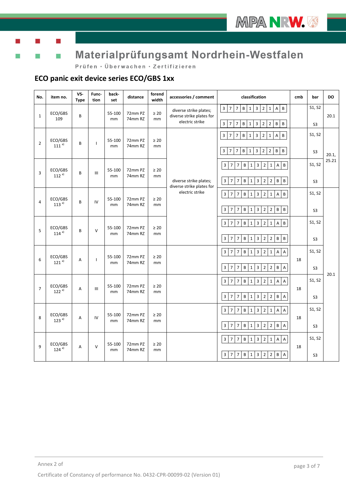

T)

Ť.

# Materialprüfungsamt Nordrhein-Westfalen

Prüfen · Überwachen · Zertifizieren

### **ECO panic exit device series ECO/GBS 1xx**

| No.            | item no.             | VS-<br><b>Type</b> | Func-<br>tion | back-<br>set | distance           | forend<br>width | accessories / comment                               | classification                                                                                                                        | cmb | bar            | DO    |
|----------------|----------------------|--------------------|---------------|--------------|--------------------|-----------------|-----------------------------------------------------|---------------------------------------------------------------------------------------------------------------------------------------|-----|----------------|-------|
| $\mathbf{1}$   | ECO/GBS<br>109       | B                  |               | 55-100<br>mm | 72mm PZ<br>74mm RZ | $\geq 20$<br>mm | diverse strike plates;<br>diverse strike plates for | $\sf B$<br>$3 \mid 7$<br>$\overline{\mathbf{3}}$<br>$\overline{2}$<br>$\overline{7}$<br>1 <sup>1</sup><br>$A$ $B$<br>$\mathbf{1}$     |     | S1, S2         | 20.1  |
|                |                      |                    |               |              |                    |                 | electric strike                                     | $\overline{\mathbf{3}}$<br>$B$ $B$<br>$\overline{7}$<br>$\overline{7}$<br>B<br>3<br>$\overline{2}$<br>$\mathbf{1}$<br>$\overline{2}$  |     | S <sub>3</sub> |       |
| $\overline{2}$ | ECO/GBS<br>$111^{a}$ | B                  | $\mathbf{I}$  | 55-100<br>mm | 72mm PZ<br>74mm RZ | $\geq 20$<br>mm |                                                     | $\overline{3}$<br>B<br>$\overline{3}$<br>$\overline{7}$<br>B<br>$\overline{2}$<br>$\overline{7}$<br>1<br>$\mathbf{1}$<br>A            |     | S1, S2         |       |
|                |                      |                    |               |              |                    |                 |                                                     | B<br>3<br>$\overline{7}$<br>B<br>3<br>$\overline{2}$<br>B<br>7<br>$\mathbf{1}$<br>$\overline{2}$                                      |     | S <sub>3</sub> | 20.1, |
| 3              | ECO/GBS              | B                  | III           | 55-100       | 72mm PZ            | $\geq 20$       |                                                     | B<br>$\overline{2}$<br>B<br>$\overline{3}$<br>$\overline{7}$<br>$\overline{7}$<br>$\mathbf{1}$<br>3<br>$\mathbf{1}$<br>A              |     | S1, S2         | 25.21 |
|                | $112^{a}$            |                    |               | mm           | 74mm RZ            | mm              | diverse strike plates;<br>diverse strike plates for | $\overline{2}$<br>$\overline{2}$<br>B<br>3<br>$\overline{7}$<br>$\overline{7}$<br>B<br>B<br>$\mathbf{1}$<br>3                         |     | S <sub>3</sub> |       |
|                | ECO/GBS              |                    |               | 55-100       | 72mm PZ            | $\geq 20$       | electric strike                                     | B<br>$\overline{2}$<br>$\overline{3}$<br>$\overline{7}$<br>$\mathbf{1}$<br>B<br>$\overline{7}$<br>$\mathbf{1}$<br>3<br>A              |     | S1, S2         |       |
| $\overline{4}$ | $113^{a}$            | B                  | IV            | mm           | 74mm RZ            | mm              |                                                     | $\overline{2}$<br>$\overline{7}$<br>$\overline{2}$<br>B<br>$\sf B$<br>3<br>$\overline{7}$<br>B<br>3<br>$\mathbf{1}$                   |     | S <sub>3</sub> |       |
|                | ECO/GBS              |                    | $\vee$        | 55-100       | 72mm PZ            | $\geq 20$       |                                                     | B<br>$\overline{2}$<br>$\overline{3}$<br>$\overline{7}$<br>$\mathbf{1}$<br>B<br>$\overline{7}$<br>$\mathbf{1}$<br>3<br>A              |     | S1, S2         |       |
| 5              | $114^{a}$            | B                  |               | mm           | 74mm RZ            | mm              |                                                     | $\overline{2}$<br>$\overline{2}$<br>3<br>$\overline{7}$<br>$\overline{7}$<br>B<br>3<br>B<br>$\sf B$<br>$\mathbf{1}$                   |     | S <sub>3</sub> |       |
|                | ECO/GBS              | $\overline{A}$     |               | 55-100       | 72mm PZ            | $\geq 20$       |                                                     | B<br>$\overline{2}$<br>$\overline{3}$<br>$\overline{7}$<br>$\mathbf{1}$<br>$\overline{7}$<br>$\mathbf{1}$<br>3<br>A<br>$\overline{A}$ | 18  | S1, S2         |       |
| 6              | $121^{a}$            |                    | $\mathbf{I}$  | mm           | 74mm RZ            | mm              |                                                     | $\overline{2}$<br>$\overline{7}$<br>$\overline{2}$<br>$\, {\bf B}$<br>3<br>$\overline{7}$<br>B<br>3<br>A<br>$\mathbf{1}$              |     | S <sub>3</sub> |       |
|                | ECO/GBS              |                    |               | 55-100       | 72mm PZ            | $\geq 20$       |                                                     | $\overline{2}$<br>B<br>$\mathbf{1}$<br>3<br>$\overline{7}$<br>$\overline{7}$<br>$\mathbf{1}$<br>3<br>A<br>$\overline{A}$              |     | S1, S2         | 20.1  |
| $\overline{7}$ | $122^{a}$            | $\overline{A}$     | III           | mm           | 74mm RZ            | mm              |                                                     | $\overline{2}$<br>$\overline{7}$<br>B<br>$\overline{2}$<br>B<br>3<br>$\overline{7}$<br>3<br>$\overline{A}$<br>$\mathbf{1}$            | 18  | S <sub>3</sub> |       |
|                | ECO/GBS              |                    |               | 55-100       | 72mm PZ            | $\geq 20$       |                                                     | 3<br>7<br>B<br>3<br>$\overline{2}$<br>$\mathbf{1}$<br>A<br>7<br>1<br>A                                                                |     | S1, S2         |       |
| 8              | $123^{a}$            | $\overline{A}$     | IV            | mm           | 74mm RZ            | mm              |                                                     | $\overline{2}$<br>$\overline{2}$<br>$\overline{7}$<br>$\overline{7}$<br>B<br>3<br>B<br>3<br>$\mathbf{1}$<br>$\overline{A}$            | 18  | S <sub>3</sub> |       |
|                | ECO/GBS              |                    |               | 55-100       | 72mm PZ            | $\geq 20$       |                                                     | 3<br>7<br>В<br>3<br>$\overline{2}$<br>$\mathbf{1}$<br>Α<br>7<br>1<br>$\overline{A}$                                                   |     | S1, S2         |       |
| 9              | $124^{a}$            | A                  | $\vee$        | mm           | 74mm RZ            | mm              |                                                     | $\overline{7}$<br>$2 \mid 2 \mid B$<br>$\mathbf{3}$<br>$\overline{7}$<br>B<br>$\overline{\mathbf{3}}$<br>$\mathbf{1}$<br>A            | 18  | S <sub>3</sub> |       |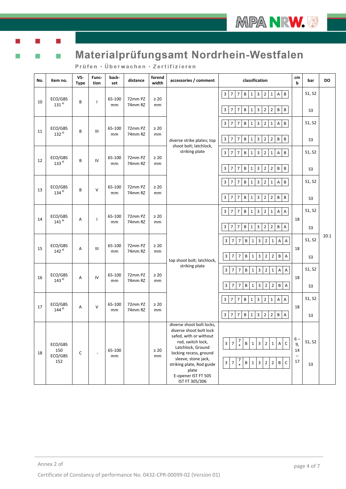

Ť.

# Materialprüfungsamt Nordrhein-Westfalen

| No. | item no.                         | VS-<br><b>Type</b> | Func-<br>tion | back-<br>set | distance           | forend<br>width | accessories / comment                                                                                                                                                                                                                                    | classification                                                                                                                                                                                                                                                                                  | cm<br>$\mathbf b$                                  | bar                      | <b>DO</b> |
|-----|----------------------------------|--------------------|---------------|--------------|--------------------|-----------------|----------------------------------------------------------------------------------------------------------------------------------------------------------------------------------------------------------------------------------------------------------|-------------------------------------------------------------------------------------------------------------------------------------------------------------------------------------------------------------------------------------------------------------------------------------------------|----------------------------------------------------|--------------------------|-----------|
| 10  | ECO/GBS<br>$131^{a}$             | B                  | $\mathbf{I}$  | 65-100<br>mm | 72mm PZ<br>74mm RZ | $\geq 20$<br>mm |                                                                                                                                                                                                                                                          | $\overline{7}$<br>$\overline{2}$<br>3<br>$\overline{7}$<br>B<br>$\overline{\mathbf{3}}$<br>$\mathbf{1}$<br>A<br>B<br>$\mathbf{1}$<br>$\overline{7}$<br>$\sf B$<br>$\, {\bf B}$<br>$\overline{\mathbf{3}}$<br>$\overline{7}$<br>$\sf B$<br>3<br>$\overline{2}$<br>$\overline{2}$<br>$\mathbf{1}$ |                                                    | S1, S2<br>S <sub>3</sub> |           |
| 11  | ECO/GBS<br>$132^{a}$             | B                  | Ш             | 65-100<br>mm | 72mm PZ<br>74mm RZ | $\geq 20$<br>mm | diverse strike plates; top                                                                                                                                                                                                                               | $\overline{7}$<br>$\overline{2}$<br>$\,$ B<br>$\overline{\mathbf{3}}$<br>$\overline{7}$<br>B<br>$\mathbf{1}$<br>3<br>$\mathbf{1}$<br>A<br>$\, {\sf B}$<br>$\overline{7}$<br>$\overline{2}$<br>B<br>3<br>7<br>B<br>$\mathbf{1}$<br>3<br>$\overline{2}$                                           |                                                    | S1, S2<br>S <sub>3</sub> |           |
| 12  | ECO/GBS<br>133 <sup>al</sup>     | B                  | IV            | 65-100<br>mm | 72mm PZ<br>74mm RZ | $\geq 20$<br>mm | shoot bolt; latchlock,<br>striking plate                                                                                                                                                                                                                 | $\sf B$<br>$\overline{3}$<br>$\overline{7}$<br>B<br>$\overline{2}$<br>$\overline{7}$<br>3<br>A<br>$\mathbf{1}$<br>1<br>$\sf B$<br>$\overline{7}$<br>B<br>$\overline{3}$<br>$\overline{2}$<br>$\overline{2}$<br>$\, {\sf B}$<br>3<br>$\overline{7}$<br>$\mathbf{1}$                              |                                                    | S1, S2<br>S <sub>3</sub> |           |
| 13  | ECO/GBS<br>$134^{a}$             | B                  | $\vee$        | 65-100<br>mm | 72mm PZ<br>74mm RZ | $\geq 20$<br>mm |                                                                                                                                                                                                                                                          | $\, {\bf B}$<br>$\overline{7}$<br>B<br>3<br>$\overline{2}$<br>A<br>3<br>$\overline{7}$<br>$\mathbf{1}$<br>$\mathbf 1$<br>$\overline{\mathbf{3}}$<br>$\overline{7}$<br> 7<br>B<br>3<br>$\overline{2}$<br>$\overline{2}$<br>$\,$ B<br>$\,$ B<br>$\mathbf{1}$                                      |                                                    | S1, S2<br>S <sub>3</sub> |           |
| 14  | ECO/GBS<br>$141^{a}$             | Α                  | $\mathbf{I}$  | 65-100<br>mm | 72mm PZ<br>74mm RZ | $\geq 20$<br>mm |                                                                                                                                                                                                                                                          | 3<br>$\overline{7}$<br>$\overline{7}$<br>B<br>3<br>$\overline{2}$<br>$\mathbf{1}$<br>$\mathbf{1}$<br>Α<br>Α<br>7<br>$\sf B$<br>7 <sup>1</sup><br>B<br>3<br>$\overline{2}$<br>$\overline{2}$<br>$\overline{A}$<br>3<br>$\mathbf{1}$                                                              | 18                                                 | S1, S2<br>S <sub>3</sub> |           |
| 15  | ECO/GBS<br>$142^{a}$             | Α                  | Ш             | 65-100<br>mm | 72mm PZ<br>74mm RZ | $\geq 20$<br>mm | top shoot bolt; latchlock,                                                                                                                                                                                                                               | B<br>$\overline{2}$<br>$\overline{A}$<br>$\overline{3}$<br>$\overline{7}$<br>7<br>3<br>A<br>$\mathbf{1}$<br>$\mathbf{1}$<br>3<br>$\overline{7}$<br>B<br>$2^{\circ}$<br>B<br>$\overline{A}$<br>$\overline{7}$<br>$\mathbf{1}$<br>3<br>$\overline{2}$                                             | 18                                                 | S1, S2<br>S <sub>3</sub> | 20.1      |
| 16  | ECO/GBS<br>$143^{a}$             | Α                  | IV            | 65-100<br>mm | 72mm PZ<br>74mm RZ | $\geq 20$<br>mm | striking plate                                                                                                                                                                                                                                           | $\mathbf{3}$<br>B<br>$\overline{A}$<br>$\overline{7}$<br>$\overline{7}$<br>$\mathbf{1}$<br>3<br>$\overline{2}$<br>$\mathbf{1}$<br>$\overline{A}$<br>3<br>$\overline{7}$<br>B<br>$\mathbf{1}$<br>3<br>$\overline{2}$<br>$\overline{2}$<br>B<br>A<br>7                                            | 18                                                 | S1, S2<br>S <sub>3</sub> |           |
| 17  | ECO/GBS<br>$144^{a}$             | Α                  | $\vee$        | 65-100<br>mm | 72mm PZ<br>74mm RZ | $\geq 20$<br>mm |                                                                                                                                                                                                                                                          | 3<br>7<br>B<br>$\mathbf{1}$<br>3<br>$\overline{2}$<br>$\mathbf{1}$<br>Α<br>$\overline{A}$<br>7<br>$\mathsf{B}$<br>$\overline{\mathbf{3}}$<br>$7 \mid 7$<br>$\, {\bf B} \,$<br>3 2<br>$\overline{2}$<br>A<br>$\mathbf{1}$                                                                        | 18                                                 | S1, S2<br>S <sub>3</sub> |           |
| 18  | ECO/GBS<br>150<br>ECO/GBS<br>152 | C                  |               | 65-100<br>mm |                    | $\geq 20$<br>mm | diverse shoot bolt locks,<br>diverse shoot bolt lock<br>safed, with or without<br>rod, switch lock,<br>Latchlock, Ground<br>locking recess, ground<br>sleeve, stone jack,<br>striking plate, Rod guide<br>plate<br>E-opener IST FT 505<br>IST FT 305/306 | $\frac{7}{1}$<br>3 <sup>1</sup><br>B 1 3<br>$\mathsf{C}$<br>$\overline{7}$<br>$\overline{2}$<br>$1 \, A$<br>$\frac{7}{*}$<br>3 <sup>1</sup><br>$\, {\bf B} \,$<br>$\overline{\mathbf{3}}$<br>$\overline{2}$<br>$\overline{2}$<br>B<br>$\mathsf{C}$<br>$\overline{7}$<br>$\mathbf{1}$            | $6-$<br>9,<br>14<br>$\overline{\phantom{0}}$<br>17 | S1, S2<br>S <sub>3</sub> |           |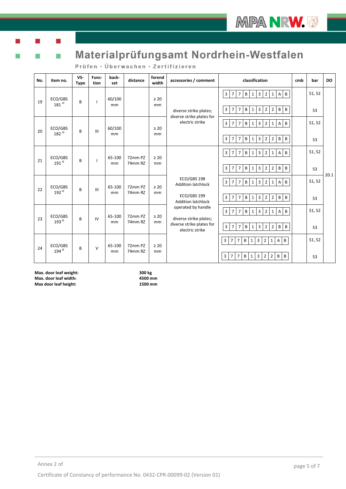

T

Ť.

# Materialprüfungsamt Nordrhein-Westfalen

|  |  | Prüfen • Überwachen • Zertifizieren |  |  |  |  |  |
|--|--|-------------------------------------|--|--|--|--|--|
|  |  |                                     |  |  |  |  |  |

| No. | item no.                       | VS-<br><b>Type</b> | Func-<br>tion | back-<br>set | distance           | forend<br>width | accessories / comment                                                                        | classification                                                                                                                                                                                                                                                                                                                                   | cmb | bar                      | <b>DO</b> |
|-----|--------------------------------|--------------------|---------------|--------------|--------------------|-----------------|----------------------------------------------------------------------------------------------|--------------------------------------------------------------------------------------------------------------------------------------------------------------------------------------------------------------------------------------------------------------------------------------------------------------------------------------------------|-----|--------------------------|-----------|
| 19  | ECO/GBS<br>$181^{a}$           | B                  | -1            | 60/100<br>mm |                    | $\geq 20$<br>mm | diverse strike plates;                                                                       | $\overline{B}$<br>$\overline{3}$<br>$\overline{7}$<br>B<br>$\overline{\mathbf{3}}$<br>2 <sup>1</sup><br>$\overline{7}$<br>1<br>$1\vert$<br>$\mathsf{A}$<br>3 <sup>1</sup><br>$\overline{7}$<br>B<br>$\overline{3}$<br>B<br>$\overline{7}$<br>$\overline{2}$<br>2 <sup>1</sup><br>B<br>$\mathbf{1}$                                               |     | S1, S2<br>S <sub>3</sub> |           |
| 20  | ECO/GBS<br>$182$ <sup>a)</sup> | B                  | III           | 60/100<br>mm |                    | $\geq 20$<br>mm | diverse strike plates for<br>electric strike                                                 | 3 <sup>1</sup><br>$\,$ B<br>$\overline{7}$<br>$\, {\bf B}$<br>$\overline{3}$<br>$\overline{7}$<br>$\overline{2}$<br>$\overline{A}$<br>$\mathbf{1}$<br>$1\vert$<br>$\overline{3}$<br>$\mathsf B$<br>3<br>$\overline{7}$<br>$\overline{7}$<br>B<br>$\overline{2}$<br>2 <sup>1</sup><br>$\mathsf B$<br>$\mathbf{1}$                                 |     | S1, S2<br>S <sub>3</sub> |           |
| 21  | ECO/GBS<br>$191^{a}$           | B                  | п             | 65-100<br>mm | 72mm PZ<br>74mm RZ | $\geq 20$<br>mm |                                                                                              | $\overline{B}$<br>$\overline{3}$<br>$\overline{7}$<br>B<br>$\overline{3}$<br>2 <sup>1</sup><br>$\overline{7}$<br>$\mathbf{1}$<br>$1 \mid$<br>$\overline{A}$<br>$\overline{3}$<br>$\mathsf{B}$<br>$\overline{\mathbf{3}}$<br>$2^{\circ}$<br>$\, {\bf B} \,$<br>$\, {\sf B}$<br>$\overline{7}$<br>$\overline{7}$<br>$\mathbf{1}$<br>2 <sup>1</sup> |     | S1, S2<br>S <sub>3</sub> | 20.1      |
| 22  | ECO/GBS<br>$192^{a}$           | B                  | III           | 65-100<br>mm | 72mm PZ<br>74mm RZ | $\geq 20$<br>mm | ECO/GBS 198<br><b>Addition latchlock</b><br>ECO/GBS 199<br><b>Addition latchlock</b>         | $\,$ B<br>$\overline{3}$<br>$\overline{7}$<br>$\, {\bf B}$<br>3<br>$\overline{2}$<br>$\overline{7}$<br>$\mathbf{1}$<br>$1 \mid$<br>$\overline{A}$<br>$\, {\bf B}$<br>$\overline{3}$<br>$\overline{3}$<br>$\overline{2}$<br>$\, {\bf B}$<br>$\overline{7}$<br>$\overline{7}$<br>B<br>$2^{\circ}$<br>$\mathbf{1}$                                  |     | S1, S2<br>S <sub>3</sub> |           |
| 23  | ECO/GBS<br>193 <sup>al</sup>   | B                  | IV            | 65-100<br>mm | 72mm PZ<br>74mm RZ | $\geq 20$<br>mm | operated by handle<br>diverse strike plates;<br>diverse strike plates for<br>electric strike | 3 <sup>1</sup><br>$\, {\sf B}$<br>$\overline{7}$<br>$\mathsf{B}$<br>$\overline{3}$<br>2 <sup>1</sup><br>$\overline{7}$<br>$\mathbf{1}$<br>$1\vert$<br>$\overline{A}$<br>3 <sup>1</sup><br>$\overline{3}$<br>$\overline{7}$<br>$\overline{7}$<br>$\mathsf B$<br>$\overline{2}$<br>$\mathsf B$<br>$\,$ B<br>$\mathbf{1}$<br>2 <sup>1</sup>         |     | S1, S2<br>S <sub>3</sub> |           |
| 24  | ECO/GBS<br>$194^{a}$           | B                  | $\mathsf{V}$  | 65-100<br>mm | 72mm PZ<br>74mm RZ | $\geq 20$<br>mm |                                                                                              | $\overline{2}$<br>$\,$ B<br>$\overline{3}$<br>7 <sup>1</sup><br>$7\overline{ }$<br>$\, {\bf B}$<br>$\overline{\mathbf{3}}$<br>$\mathbf{1}$<br>$\mathsf{A}$<br>$\mathbf{1}$<br>$\overline{\mathbf{3}}$<br>$\overline{3}$<br>$\overline{2}$<br>$\overline{2}$<br>7 <sup>1</sup><br>$\overline{7}$<br>B<br>$\mathsf{B}$<br>B<br>$\mathbf{1}$        |     | S1, S2<br>S <sub>3</sub> |           |

**Max. door leaf weight: 300 kg Max. door leaf width: 4500 mm Max door leaf height:**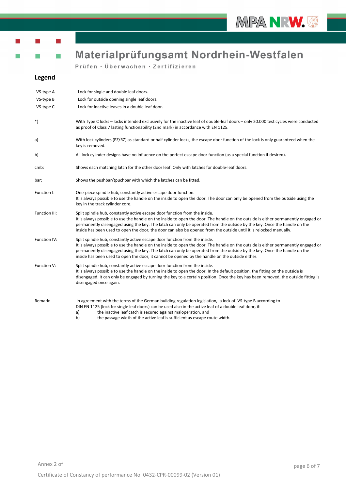

## ř.

# Materialprüfungsamt Nordrhein-Westfalen

Prüfen · Überwachen · Zertifizieren

#### **Legend**

| VS-type A     | Lock for single and double leaf doors.                                                                                                                                                                                                                                                                                                                                                                                                                             |
|---------------|--------------------------------------------------------------------------------------------------------------------------------------------------------------------------------------------------------------------------------------------------------------------------------------------------------------------------------------------------------------------------------------------------------------------------------------------------------------------|
| VS-type B     | Lock for outside opening single leaf doors.                                                                                                                                                                                                                                                                                                                                                                                                                        |
| VS-type C     | Lock for inactive leaves in a double leaf door.                                                                                                                                                                                                                                                                                                                                                                                                                    |
| $^*)$         | With Type C locks - locks intended exclusively for the inactive leaf of double-leaf doors - only 20.000 test cycles were conducted<br>as proof of Class 7 lasting functionability (2nd mark) in accordance with EN 1125.                                                                                                                                                                                                                                           |
| a)            | With lock cylinders (PZ/RZ) as standard or half cylinder locks, the escape door function of the lock is only guaranteed when the<br>key is removed.                                                                                                                                                                                                                                                                                                                |
| b)            | All lock cylinder designs have no influence on the perfect escape door function (as a special function if desired).                                                                                                                                                                                                                                                                                                                                                |
| cmb:          | Shows each matching latch for the other door leaf. Only with latches for double-leaf doors.                                                                                                                                                                                                                                                                                                                                                                        |
| bar:          | Shows the pushbar/tpuchbar with which the latches can be fitted.                                                                                                                                                                                                                                                                                                                                                                                                   |
| Function I:   | One-piece spindle hub, constantly active escape door function.<br>It is always possible to use the handle on the inside to open the door. The door can only be opened from the outside using the<br>key in the track cylinder core.                                                                                                                                                                                                                                |
| Function III: | Split spindle hub, constantly active escape door function from the inside.<br>It is always possible to use the handle on the inside to open the door. The handle on the outside is either permanently engaged or<br>permanently disengaged using the key. The latch can only be operated from the outside by the key. Once the handle on the<br>inside has been used to open the door, the door can also be opened from the outside until it is relocked manually. |
| Function IV:  | Split spindle hub, constantly active escape door function from the inside.<br>It is always possible to use the handle on the inside to open the door. The handle on the outside is either permanently engaged or<br>permanently disengaged using the key. The latch can only be operated from the outside by the key. Once the handle on the<br>inside has been used to open the door, it cannot be opened by the handle on the outside either.                    |
| Function V:   | Split spindle hub, constantly active escape door function from the inside.<br>It is always possible to use the handle on the inside to open the door. In the default position, the fitting on the outside is<br>disengaged. It can only be engaged by turning the key to a certain position. Once the key has been removed, the outside fitting is<br>disengaged once again.                                                                                       |
| Remark:       | In agreement with the terms of the German building regulation legislation, a lock of VS-type B according to<br>DIN EN 1125 (lock for single leaf doors) can be used also in the active leaf of a double leaf door, if:<br>the inactive leaf catch is secured against maloperation, and<br>a)<br>b)<br>the passage width of the active leaf is sufficient as escape route width.                                                                                    |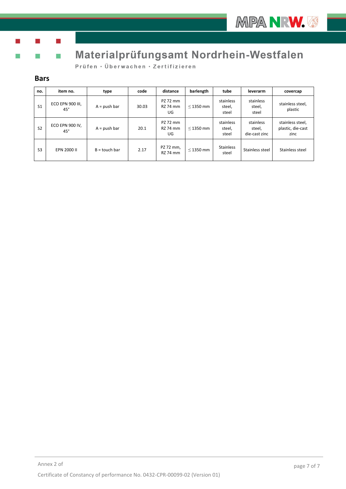

Ħ

# Materialprüfungsamt Nordrhein-Westfalen

Prüfen · Überwachen · Zertifizieren

#### **Bars**

Ť.

| no.            | item no.                         | type            | code  | distance                          | barlength      | tube                         | leverarm                             | covercap                                      |
|----------------|----------------------------------|-----------------|-------|-----------------------------------|----------------|------------------------------|--------------------------------------|-----------------------------------------------|
| S <sub>1</sub> | ECO EPN 900 III,<br>$45^{\circ}$ | $A = push bar$  | 30.03 | PZ 72 mm<br><b>RZ 74 mm</b><br>UG | $<$ 1350 mm    | stainless<br>steel,<br>steel | stainless<br>steel,<br>steel         | stainless steel,<br>plastic                   |
| S <sub>2</sub> | ECO EPN 900 IV,<br>$45^\circ$    | $A = push bar$  | 20.1  | PZ 72 mm<br><b>RZ 74 mm</b><br>UG | $<$ 1350 mm    | stainless<br>steel,<br>steel | stainless<br>steel,<br>die-cast zinc | stainless steel,<br>plastic, die-cast<br>zinc |
| S <sub>3</sub> | EPN 2000 II                      | $B =$ touch bar | 2.17  | PZ 72 mm,<br><b>RZ 74 mm</b>      | $\leq$ 1350 mm | <b>Stainless</b><br>steel    | Stainless steel                      | Stainless steel                               |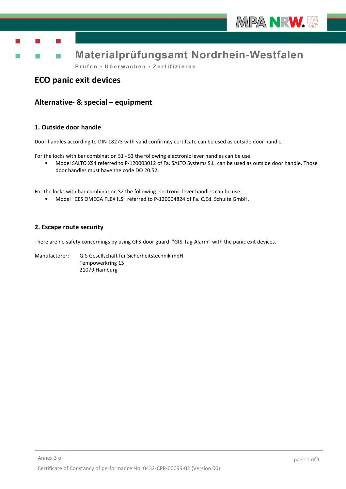

# Materialprüfungsamt Nordrhein-Westfalen

Prüfen · Überwachen · Zertifizieren

## **ECO panic exit devices**

## **Alternative- & special – equipment**

#### **1. Outside door handle**

Door handles according to DIN 18273 with valid confirmity certifcate can be used as outside door handle.

For the locks with bar combination S1 - S3 the following electronic lever handles can be use:

• Model SALTO XS4 referred to P-120003012 of Fa. SALTO Systems S.L. can be used as outside door handle. Those door handles must have the code DO 20.52.

For the locks with bar combination S2 the following electronic lever handles can be use:

• Model "CES OMEGA FLEX ILS" referred to P-120004824 of Fa. C.Ed. Schulte GmbH.

#### **2. Escape route security**

There are no safety concernings by using GFS-door guard "GfS-Tag-Alarm" with the panic exit devices.

Manufactorer: GfS Gesellschaft für Sicherheitstechnik mbH Tempowerkring 15 21079 Hamburg